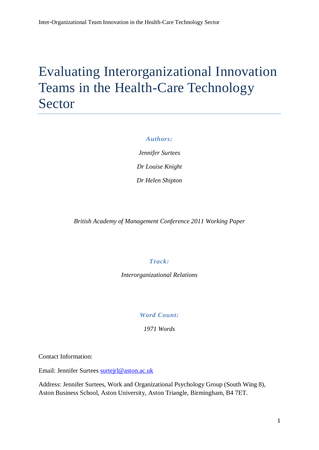## Evaluating Interorganizational Innovation Teams in the Health-Care Technology Sector

#### *Authors:*

*Jennifer Surtees Dr Louise Knight Dr Helen Shipton*

*British Academy of Management Conference 2011 Working Paper* 

## *Track:*

*Interorganizational Relations*

*Word Count:*

*1971 Words*

Contact Information:

Email: Jennifer Surtees [surtejrl@aston.ac.uk](mailto:surtejrl@aston.ac.uk)

Address: Jennifer Surtees, Work and Organizational Psychology Group (South Wing 8), Aston Business School, Aston University, Aston Triangle, Birmingham, B4 7ET.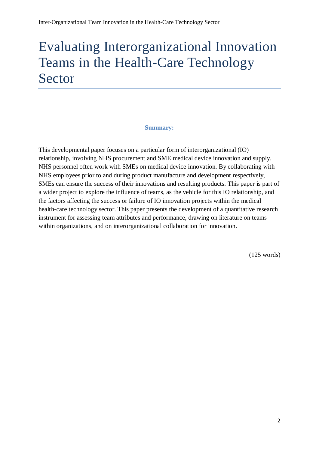# Evaluating Interorganizational Innovation Teams in the Health-Care Technology Sector

## **Summary:**

This developmental paper focuses on a particular form of interorganizational (IO) relationship, involving NHS procurement and SME medical device innovation and supply. NHS personnel often work with SMEs on medical device innovation. By collaborating with NHS employees prior to and during product manufacture and development respectively, SMEs can ensure the success of their innovations and resulting products. This paper is part of a wider project to explore the influence of teams, as the vehicle for this IO relationship, and the factors affecting the success or failure of IO innovation projects within the medical health-care technology sector. This paper presents the development of a quantitative research instrument for assessing team attributes and performance, drawing on literature on teams within organizations, and on interorganizational collaboration for innovation.

(125 words)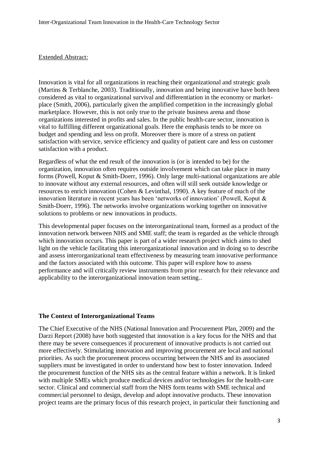#### Extended Abstract:

Innovation is vital for all organizations in reaching their organizational and strategic goals (Martins & Terblanche, 2003). Traditionally, innovation and being innovative have both been considered as vital to organizational survival and differentiation in the economy or marketplace (Smith, 2006), particularly given the amplified competition in the increasingly global marketplace. However, this is not only true to the private business arena and those organizations interested in profits and sales. In the public health-care sector, innovation is vital to fulfilling different organizational goals. Here the emphasis tends to be more on budget and spending and less on profit. Moreover there is more of a stress on patient satisfaction with service, service efficiency and quality of patient care and less on customer satisfaction with a product.

Regardless of what the end result of the innovation is (or is intended to be) for the organization, innovation often requires outside involvement which can take place in many forms (Powell, Koput & Smith-Doerr, 1996). Only large multi-national organizations are able to innovate without any external resources, and often will still seek outside knowledge or resources to enrich innovation (Cohen & Levinthal, 1990). A key feature of much of the innovation literature in recent years has been 'networks of innovation' (Powell, Koput & Smith-Doerr, 1996). The networks involve organizations working together on innovative solutions to problems or new innovations in products.

This developmental paper focuses on the interorganizational team, formed as a product of the innovation network between NHS and SME staff; the team is regarded as the vehicle through which innovation occurs. This paper is part of a wider research project which aims to shed light on the vehicle facilitating this interorganizational innovation and in doing so to describe and assess interorganizational team effectiveness by measuring team innovative performance and the factors associated with this outcome. This paper will explore how to assess performance and will critically review instruments from prior research for their relevance and applicability to the interorganizational innovation team setting..

#### **The Context of Interorganizational Teams**

The Chief Executive of the NHS (National Innovation and Procurement Plan, 2009) and the Darzi Report (2008) have both suggested that innovation is a key focus for the NHS and that there may be severe consequences if procurement of innovative products is not carried out more effectively. Stimulating innovation and improving procurement are local and national priorities. As such the procurement process occurring between the NHS and its associated suppliers must be investigated in order to understand how best to foster innovation. Indeed the procurement function of the NHS sits as the central feature within a network. It is linked with multiple SMEs which produce medical devices and/or technologies for the health-care sector. Clinical and commercial staff from the NHS form teams with SME technical and commercial personnel to design, develop and adopt innovative products. These innovation project teams are the primary focus of this research project, in particular their functioning and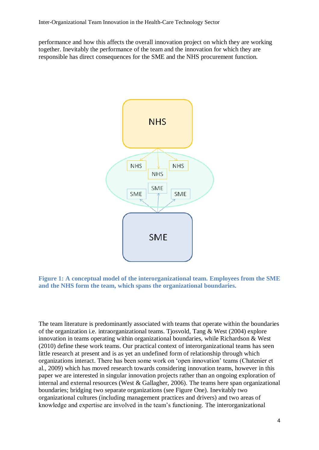performance and how this affects the overall innovation project on which they are working together. Inevitably the performance of the team and the innovation for which they are responsible has direct consequences for the SME and the NHS procurement function.





The team literature is predominantly associated with teams that operate within the boundaries of the organization i.e. intraorganizational teams. Tjosvold, Tang & West (2004) explore innovation in teams operating within organizational boundaries, while Richardson & West (2010) define these work teams. Our practical context of interorganizational teams has seen little research at present and is as yet an undefined form of relationship through which organizations interact. There has been some work on 'open innovation' teams (Chatenier et al., 2009) which has moved research towards considering innovation teams, however in this paper we are interested in singular innovation projects rather than an ongoing exploration of internal and external resources (West & Gallagher, 2006). The teams here span organizational boundaries; bridging two separate organizations (see Figure One). Inevitably two organizational cultures (including management practices and drivers) and two areas of knowledge and expertise are involved in the team's functioning. The interorganizational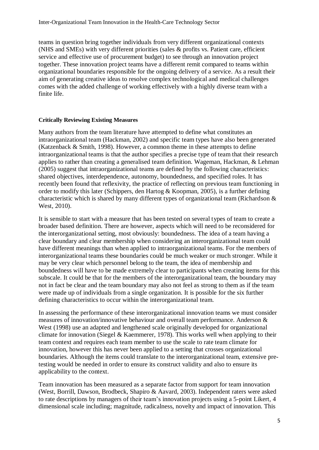teams in question bring together individuals from very different organizational contexts (NHS and SMEs) with very different priorities (sales & profits vs. Patient care, efficient service and effective use of procurement budget) to see through an innovation project together. These innovation project teams have a different remit compared to teams within organizational boundaries responsible for the ongoing delivery of a service. As a result their aim of generating creative ideas to resolve complex technological and medical challenges comes with the added challenge of working effectively with a highly diverse team with a finite life.

## **Critically Reviewing Existing Measures**

Many authors from the team literature have attempted to define what constitutes an intraorganizational team (Hackman, 2002) and specific team types have also been generated (Katzenback & Smith, 1998). However, a common theme in these attempts to define intraorganizational teams is that the author specifies a precise type of team that their research applies to rather than creating a generalised team definition. Wageman, Hackman, & Lehman (2005) suggest that intraorganizational teams are defined by the following characteristics: shared objectives, interdependence, autonomy, boundedness, and specified roles. It has recently been found that reflexivity, the practice of reflecting on previous team functioning in order to modify this later (Schippers, den Hartog & Koopman, 2005), is a further defining characteristic which is shared by many different types of organizational team (Richardson & West, 2010).

It is sensible to start with a measure that has been tested on several types of team to create a broader based definition. There are however, aspects which will need to be reconsidered for the interorganizational setting, most obviously: boundedness. The idea of a team having a clear boundary and clear membership when considering an interorganizational team could have different meanings than when applied to intraorganizational teams. For the members of interorganizational teams these boundaries could be much weaker or much stronger. While it may be very clear which personnel belong to the team, the idea of membership and boundedness will have to be made extremely clear to participants when creating items for this subscale. It could be that for the members of the interorganizational team, the boundary may not in fact be clear and the team boundary may also not feel as strong to them as if the team were made up of individuals from a single organization. It is possible for the six further defining characteristics to occur within the interorganizational team.

In assessing the performance of these interorganizational innovation teams we must consider measures of innovation/innovative behaviour and overall team performance. Anderson & West (1998) use an adapted and lengthened scale originally developed for organizational climate for innovation (Siegel & Kaemmerer, 1978). This works well when applying to their team context and requires each team member to use the scale to rate team climate for innovation, however this has never been applied to a setting that crosses organizational boundaries. Although the items could translate to the interorganizational team, extensive pretesting would be needed in order to ensure its construct validity and also to ensure its applicability to the context.

Team innovation has been measured as a separate factor from support for team innovation (West, Borrill, Dawson, Brodbeck, Shapiro & Aavard, 2003). Independent raters were asked to rate descriptions by managers of their team's innovation projects using a 5-point Likert, 4 dimensional scale including; magnitude, radicalness, novelty and impact of innovation. This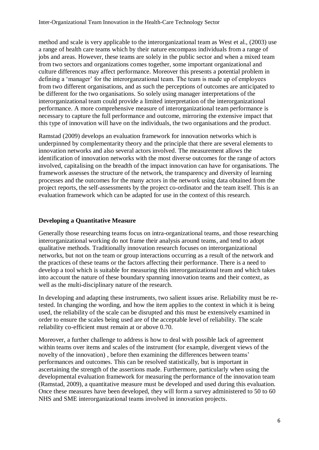method and scale is very applicable to the interorganizational team as West et al., (2003) use a range of health care teams which by their nature encompass individuals from a range of jobs and areas. However, these teams are solely in the public sector and when a mixed team from two sectors and organizations comes together, some important organizational and culture differences may affect performance. Moreover this presents a potential problem in defining a 'manager' for the interorganzational team. The team is made up of employees from two different organisations, and as such the perceptions of outcomes are anticipated to be different for the two organisations. So solely using manager interpretations of the interorganizational team could provide a limited interpretation of the interorganizational performance. A more comprehensive measure of interorganizational team performance is necessary to capture the full performance and outcome, mirroring the extensive impact that this type of innovation will have on the individuals, the two organisations and the product.

Ramstad (2009) develops an evaluation framework for innovation networks which is underpinned by complementarity theory and the principle that there are several elements to innovation networks and also several actors involved. The measurement allows the identification of innovation networks with the most diverse outcomes for the range of actors involved, capitalising on the breadth of the impact innovation can have for organisations. The framework assesses the structure of the network, the transparency and diversity of learning processes and the outcomes for the many actors in the network using data obtained from the project reports, the self-assessments by the project co-ordinator and the team itself. This is an evaluation framework which can be adapted for use in the context of this research.

## **Developing a Quantitative Measure**

Generally those researching teams focus on intra-organizational teams, and those researching interorganizational working do not frame their analysis around teams, and tend to adopt qualitative methods. Traditionally innovation research focuses on interorganizational networks, but not on the team or group interactions occurring as a result of the network and the practices of these teams or the factors affecting their performance. There is a need to develop a tool which is suitable for measuring this interorganizational team and which takes into account the nature of these boundary spanning innovation teams and their context, as well as the multi-disciplinary nature of the research.

In developing and adapting these instruments, two salient issues arise. Reliability must be retested. In changing the wording, and how the item applies to the context in which it is being used, the reliability of the scale can be disrupted and this must be extensively examined in order to ensure the scales being used are of the acceptable level of reliability. The scale reliability co-efficient must remain at or above 0.70.

Moreover, a further challenge to address is how to deal with possible lack of agreement within teams over items and scales of the instrument (for example, divergent views of the novelty of the innovation) , before then examining the differences between teams' performances and outcomes. This can be resolved statistically, but is important in ascertaining the strength of the assertions made. Furthermore, particularly when using the developmental evaluation framework for measuring the performance of the innovation team (Ramstad, 2009), a quantitative measure must be developed and used during this evaluation. Once these measures have been developed, they will form a survey administered to 50 to 60 NHS and SME interorganizational teams involved in innovation projects.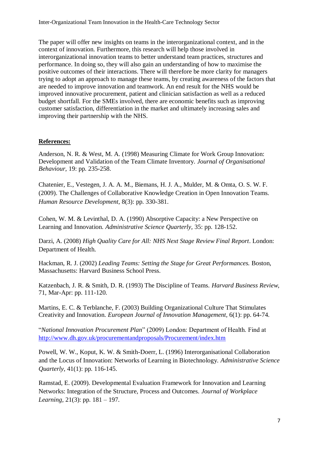The paper will offer new insights on teams in the interorganizational context, and in the context of innovation. Furthermore, this research will help those involved in interorganizational innovation teams to better understand team practices, structures and performance. In doing so, they will also gain an understanding of how to maximise the positive outcomes of their interactions. There will therefore be more clarity for managers trying to adopt an approach to manage these teams, by creating awareness of the factors that are needed to improve innovation and teamwork. An end result for the NHS would be improved innovative procurement, patient and clinician satisfaction as well as a reduced budget shortfall. For the SMEs involved, there are economic benefits such as improving customer satisfaction, differentiation in the market and ultimately increasing sales and improving their partnership with the NHS.

## **References:**

Anderson, N. R. & West, M. A. (1998) Measuring Climate for Work Group Innovation: Development and Validation of the Team Climate Inventory. *Journal of Organisational Behaviour,* 19: pp. 235-258.

Chatenier, E., Vestegen, J. A. A. M., Biemans, H. J. A., Mulder, M. & Omta, O. S. W. F. (2009). The Challenges of Collaborative Knowledge Creation in Open Innovation Teams. *Human Resource Development,* 8(3): pp. 330-381.

Cohen, W. M. & Levinthal, D. A. (1990) Absorptive Capacity: a New Perspective on Learning and Innovation. *Administrative Science Quarterly,* 35: pp. 128-152.

Darzi, A. (2008) *High Quality Care for All: NHS Next Stage Review Final Report*. London: Department of Health.

Hackman, R. J. (2002) *Leading Teams: Setting the Stage for Great Performances.* Boston, Massachusetts: Harvard Business School Press.

Katzenbach, J. R. & Smith, D. R. (1993) The Discipline of Teams. *Harvard Business Review,* 71, Mar-Apr: pp. 111-120.

Martins, E. C. & Terblanche, F. (2003) Building Organizational Culture That Stimulates Creativity and Innovation. *European Journal of Innovation Management,* 6(1): pp. 64-74.

"*National Innovation Procurement Plan*" (2009) London: Department of Health. Find at <http://www.dh.gov.uk/procurementandproposals/Procurement/index.htm>

Powell, W. W., Koput, K. W. & Smith-Doerr, L. (1996) Interorganisational Collaboration and the Locus of Innovation: Networks of Learning in Biotechnology. *Administrative Science Quarterly*, 41(1): pp. 116-145.

Ramstad, E. (2009). Developmental Evaluation Framework for Innovation and Learning Networks: Integration of the Structure, Process and Outcomes. *Journal of Workplace Learning,* 21(3): pp. 181 – 197.